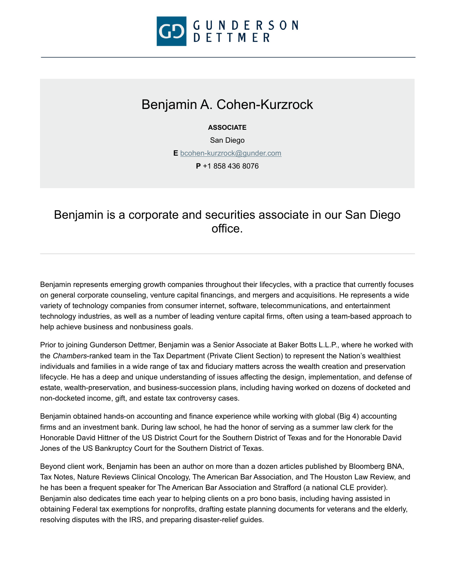

# Benjamin A. Cohen-Kurzrock

**ASSOCIATE**

San Diego

**E** [bcohen-kurzrock@gunder.com](mailto:bcohen-kurzrock@gunder.com)

**P** +1 858 436 8076

# Benjamin is a corporate and securities associate in our San Diego office.

Benjamin represents emerging growth companies throughout their lifecycles, with a practice that currently focuses on general corporate counseling, venture capital financings, and mergers and acquisitions. He represents a wide variety of technology companies from consumer internet, software, telecommunications, and entertainment technology industries, as well as a number of leading venture capital firms, often using a team-based approach to help achieve business and nonbusiness goals.

Prior to joining Gunderson Dettmer, Benjamin was a Senior Associate at Baker Botts L.L.P., where he worked with the *Chambers*-ranked team in the Tax Department (Private Client Section) to represent the Nation's wealthiest individuals and families in a wide range of tax and fiduciary matters across the wealth creation and preservation lifecycle. He has a deep and unique understanding of issues affecting the design, implementation, and defense of estate, wealth-preservation, and business-succession plans, including having worked on dozens of docketed and non-docketed income, gift, and estate tax controversy cases.

Benjamin obtained hands-on accounting and finance experience while working with global (Big 4) accounting firms and an investment bank. During law school, he had the honor of serving as a summer law clerk for the Honorable David Hittner of the US District Court for the Southern District of Texas and for the Honorable David Jones of the US Bankruptcy Court for the Southern District of Texas.

Beyond client work, Benjamin has been an author on more than a dozen articles published by Bloomberg BNA, Tax Notes, Nature Reviews Clinical Oncology, The American Bar Association, and The Houston Law Review, and he has been a frequent speaker for The American Bar Association and Strafford (a national CLE provider). Benjamin also dedicates time each year to helping clients on a pro bono basis, including having assisted in obtaining Federal tax exemptions for nonprofits, drafting estate planning documents for veterans and the elderly, resolving disputes with the IRS, and preparing disaster-relief guides.